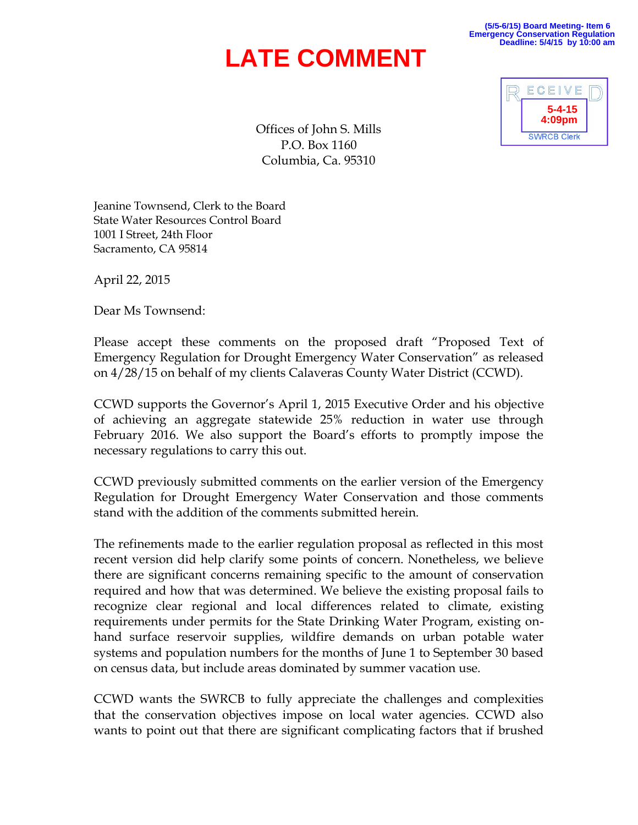## **LATE COMMENT**

**(5/5-6/15) Board Meeting- Item 6 Emergency Conservation Regulation Deadline: 5/4/15 by 10:00 am**



Offices of John S. Mills P.O. Box 1160 Columbia, Ca. 95310

Jeanine Townsend, Clerk to the Board State Water Resources Control Board 1001 I Street, 24th Floor Sacramento, CA 95814

April 22, 2015

Dear Ms Townsend:

Please accept these comments on the proposed draft "Proposed Text of Emergency Regulation for Drought Emergency Water Conservation" as released on 4/28/15 on behalf of my clients Calaveras County Water District (CCWD).

CCWD supports the Governor's April 1, 2015 Executive Order and his objective of achieving an aggregate statewide 25% reduction in water use through February 2016. We also support the Board's efforts to promptly impose the necessary regulations to carry this out.

CCWD previously submitted comments on the earlier version of the Emergency Regulation for Drought Emergency Water Conservation and those comments stand with the addition of the comments submitted herein.

The refinements made to the earlier regulation proposal as reflected in this most recent version did help clarify some points of concern. Nonetheless, we believe there are significant concerns remaining specific to the amount of conservation required and how that was determined. We believe the existing proposal fails to recognize clear regional and local differences related to climate, existing requirements under permits for the State Drinking Water Program, existing onhand surface reservoir supplies, wildfire demands on urban potable water systems and population numbers for the months of June 1 to September 30 based on census data, but include areas dominated by summer vacation use.

CCWD wants the SWRCB to fully appreciate the challenges and complexities that the conservation objectives impose on local water agencies. CCWD also wants to point out that there are significant complicating factors that if brushed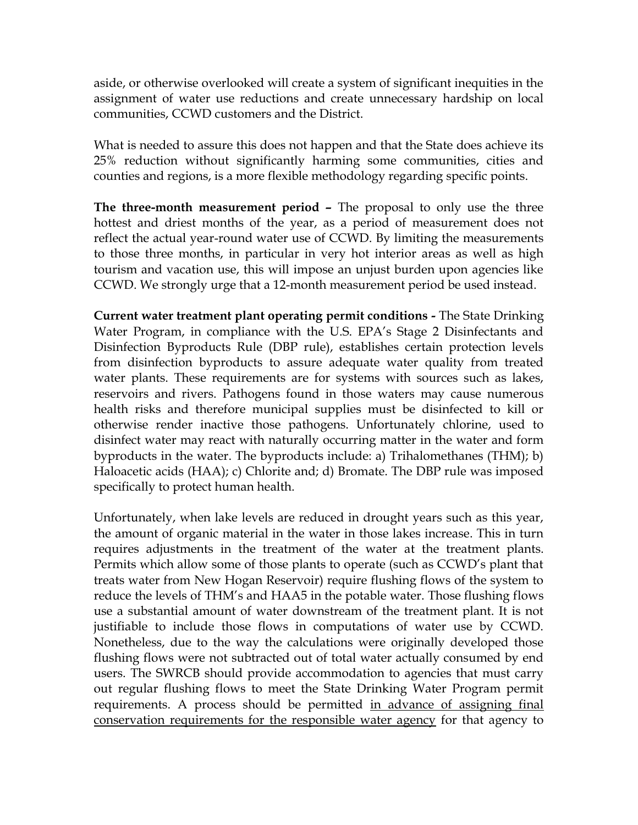aside, or otherwise overlooked will create a system of significant inequities in the assignment of water use reductions and create unnecessary hardship on local communities, CCWD customers and the District.

What is needed to assure this does not happen and that the State does achieve its 25% reduction without significantly harming some communities, cities and counties and regions, is a more flexible methodology regarding specific points.

**The three-month measurement period –** The proposal to only use the three hottest and driest months of the year, as a period of measurement does not reflect the actual year-round water use of CCWD. By limiting the measurements to those three months, in particular in very hot interior areas as well as high tourism and vacation use, this will impose an unjust burden upon agencies like CCWD. We strongly urge that a 12-month measurement period be used instead.

**Current water treatment plant operating permit conditions -** The State Drinking Water Program, in compliance with the U.S. EPA's Stage 2 Disinfectants and Disinfection Byproducts Rule (DBP rule), establishes certain protection levels from disinfection byproducts to assure adequate water quality from treated water plants. These requirements are for systems with sources such as lakes, reservoirs and rivers. Pathogens found in those waters may cause numerous health risks and therefore municipal supplies must be disinfected to kill or otherwise render inactive those pathogens. Unfortunately chlorine, used to disinfect water may react with naturally occurring matter in the water and form byproducts in the water. The byproducts include: a) Trihalomethanes (THM); b) Haloacetic acids (HAA); c) Chlorite and; d) Bromate. The DBP rule was imposed specifically to protect human health.

Unfortunately, when lake levels are reduced in drought years such as this year, the amount of organic material in the water in those lakes increase. This in turn requires adjustments in the treatment of the water at the treatment plants. Permits which allow some of those plants to operate (such as CCWD's plant that treats water from New Hogan Reservoir) require flushing flows of the system to reduce the levels of THM's and HAA5 in the potable water. Those flushing flows use a substantial amount of water downstream of the treatment plant. It is not justifiable to include those flows in computations of water use by CCWD. Nonetheless, due to the way the calculations were originally developed those flushing flows were not subtracted out of total water actually consumed by end users. The SWRCB should provide accommodation to agencies that must carry out regular flushing flows to meet the State Drinking Water Program permit requirements. A process should be permitted in advance of assigning final conservation requirements for the responsible water agency for that agency to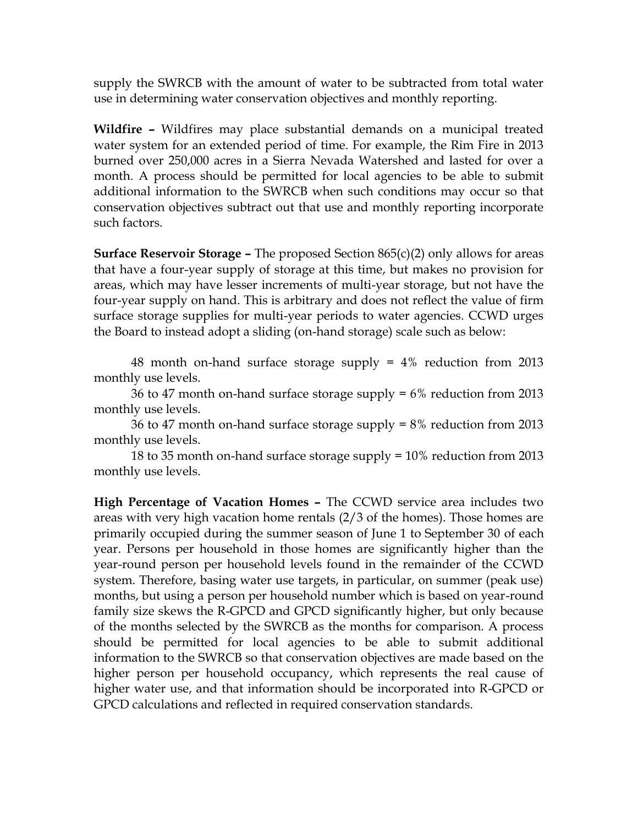supply the SWRCB with the amount of water to be subtracted from total water use in determining water conservation objectives and monthly reporting.

**Wildfire –** Wildfires may place substantial demands on a municipal treated water system for an extended period of time. For example, the Rim Fire in 2013 burned over 250,000 acres in a Sierra Nevada Watershed and lasted for over a month. A process should be permitted for local agencies to be able to submit additional information to the SWRCB when such conditions may occur so that conservation objectives subtract out that use and monthly reporting incorporate such factors.

**Surface Reservoir Storage –** The proposed Section 865(c)(2) only allows for areas that have a four-year supply of storage at this time, but makes no provision for areas, which may have lesser increments of multi-year storage, but not have the four-year supply on hand. This is arbitrary and does not reflect the value of firm surface storage supplies for multi-year periods to water agencies. CCWD urges the Board to instead adopt a sliding (on-hand storage) scale such as below:

48 month on-hand surface storage supply = 4% reduction from 2013 monthly use levels.

36 to 47 month on-hand surface storage supply  $= 6\%$  reduction from 2013 monthly use levels.

36 to 47 month on-hand surface storage supply = 8% reduction from 2013 monthly use levels.

18 to 35 month on-hand surface storage supply = 10% reduction from 2013 monthly use levels.

**High Percentage of Vacation Homes –** The CCWD service area includes two areas with very high vacation home rentals (2/3 of the homes). Those homes are primarily occupied during the summer season of June 1 to September 30 of each year. Persons per household in those homes are significantly higher than the year-round person per household levels found in the remainder of the CCWD system. Therefore, basing water use targets, in particular, on summer (peak use) months, but using a person per household number which is based on year-round family size skews the R-GPCD and GPCD significantly higher, but only because of the months selected by the SWRCB as the months for comparison. A process should be permitted for local agencies to be able to submit additional information to the SWRCB so that conservation objectives are made based on the higher person per household occupancy, which represents the real cause of higher water use, and that information should be incorporated into R-GPCD or GPCD calculations and reflected in required conservation standards.